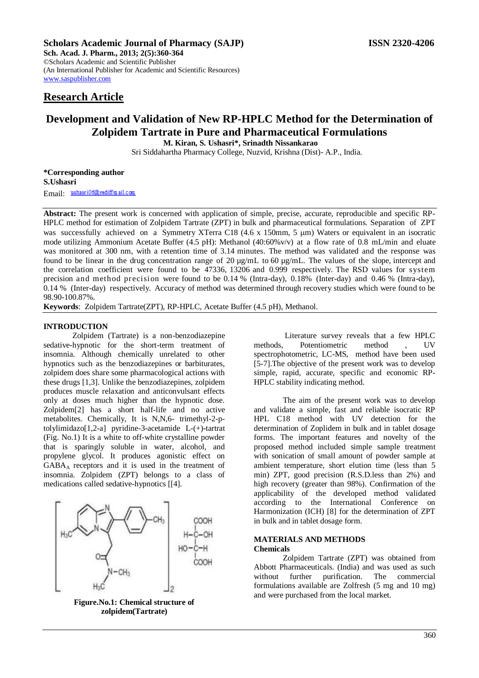**Sch. Acad. J. Pharm., 2013; 2(5):360-364** ©Scholars Academic and Scientific Publisher (An International Publisher for Academic and Scientific Resources) [www.saspublisher.com](http://www.saspublisher.com/) 

# **Research Article**

# **Development and Validation of New RP-HPLC Method for the Determination of Zolpidem Tartrate in Pure and Pharmaceutical Formulations M. Kiran, S. Ushasri\*, Srinadth Nissankarao**

Sri Siddahartha Pharmacy College, Nuzvid, Krishna (Dist)- A.P., India.

**\*Corresponding author S.Ushasri** Email: ushasri06@rediffmail.com

**Abstract:** The present work is concerned with application of simple, precise, accurate, reproducible and specific RP-HPLC method for estimation of Zolpidem Tartrate (ZPT) in bulk and pharmaceutical formulations. Separation of ZPT was successfully achieved on a Symmetry XTerra C18 (4.6 x 150mm, 5 µm) Waters or equivalent in an isocratic mode utilizing Ammonium Acetate Buffer (4.5 pH): Methanol (40:60%v/v) at a flow rate of 0.8 mL/min and eluate was monitored at 300 nm, with a retention time of 3.14 minutes. The method was validated and the response was found to be linear in the drug concentration range of 20 µg/mL to 60 µg/mL. The values of the slope, intercept and the correlation coefficient were found to be 47336, 13206 and 0.999 respectively. The RSD values for system precision and method precision were found to be 0.14 % (Intra-day), 0.18% (Inter-day) and 0.46 % (Intra-day), 0.14 % (Inter-day) respectively. Accuracy of method was determined through recovery studies which were found to be 98.90-100.87%.

**Keywords**: Zolpidem Tartrate(ZPT), RP-HPLC, Acetate Buffer (4.5 pH), Methanol.

### **INTRODUCTION**

Zolpidem (Tartrate) is a non-benzodiazepine sedative-hypnotic for the short-term treatment of insomnia. Although chemically unrelated to other hypnotics such as the benzodiazepines or barbiturates, zolpidem does share some pharmacological actions with these drugs [1,3]. Unlike the benzodiazepines, zolpidem produces muscle relaxation and anticonvulsant effects only at doses much higher than the hypnotic dose. Zolpidem[2] has a short half-life and no active metabolites. Chemically, It is N,N,6- trimethyl-2-ptolylimidazo[1,2-a] pyridine-3-acetamide L-(+)-tartrat (Fig. No.1) It is a white to off-white crystalline powder that is sparingly soluble in water, alcohol, and propylene glycol. It produces agonistic effect on GABA<sup>A</sup> receptors and it is used in the treatment of insomnia. Zolpidem (ZPT) belongs to a class of medications called sedative-hypnotics [[4].



**Figure.No.1: Chemical structure of zolpidem(Tartrate)**

Literature survey reveals that a few HPLC methods, Potentiometric method , UV spectrophotometric, LC-MS, method have been used [5-7].The objective of the present work was to develop simple, rapid, accurate, specific and economic RP-HPLC stability indicating method.

The aim of the present work was to develop and validate a simple, fast and reliable isocratic RP HPL C18 method with UV detection for the determination of Zoplidem in bulk and in tablet dosage forms. The important features and novelty of the proposed method included simple sample treatment with sonication of small amount of powder sample at ambient temperature, short elution time (less than 5 min) ZPT, good precision (R.S.D.less than 2%) and high recovery (greater than 98%). Confirmation of the applicability of the developed method validated according to the International Conference on Harmonization (ICH) [8] for the determination of ZPT in bulk and in tablet dosage form.

# **MATERIALS AND METHODS**

#### **Chemicals**

Zolpidem Tartrate (ZPT) was obtained from Abbott Pharmaceuticals. (India) and was used as such without further purification. The commercial formulations available are Zolfresh (5 mg and 10 mg) and were purchased from the local market.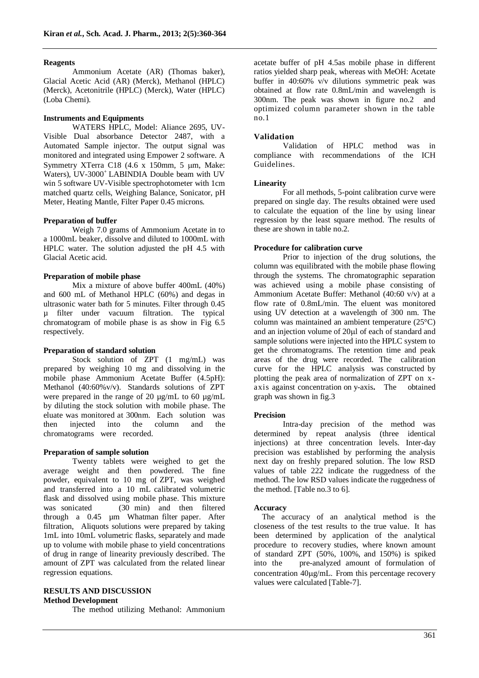#### **Reagents**

Ammonium Acetate (AR) (Thomas baker), Glacial Acetic Acid (AR) (Merck), Methanol (HPLC) (Merck), Acetonitrile (HPLC) (Merck), Water (HPLC) (Loba Chemi).

### **Instruments and Equipments**

WATERS HPLC, Model: Aliance 2695, UV-Visible Dual absorbance Detector 2487, with a Automated Sample injector. The output signal was monitored and integrated using Empower 2 software. A Symmetry XTerra C18  $(4.6 \times 150)$ mm, 5 um, Make: Waters), UV-3000<sup>+</sup>LABINDIA Double beam with UV win 5 software UV-Visible spectrophotometer with 1cm matched quartz cells, Weighing Balance, Sonicator, pH Meter, Heating Mantle, Filter Paper 0.45 microns.

#### **Preparation of buffer**

Weigh 7.0 grams of Ammonium Acetate in to a 1000mL beaker, dissolve and diluted to 1000mL with HPLC water. The solution adjusted the pH 4.5 with Glacial Acetic acid.

## **Preparation of mobile phase**

Mix a mixture of above buffer 400mL (40%) and 600 mL of Methanol HPLC (60%) and degas in ultrasonic water bath for 5 minutes. Filter through 0.45 µ filter under vacuum filtration. The typical chromatogram of mobile phase is as show in Fig 6.5 respectively.

#### **Preparation of standard solution**

Stock solution of ZPT (1 mg/mL) was prepared by weighing 10 mg and dissolving in the mobile phase Ammonium Acetate Buffer (4.5pH): Methanol (40:60%v/v). Standards solutions of ZPT were prepared in the range of 20 µg/mL to 60 µg/mL by diluting the stock solution with mobile phase. The eluate was monitored at 300nm. Each solution was then injected into the column and the chromatograms were recorded.

#### **Preparation of sample solution**

Twenty tablets were weighed to get the average weight and then powdered. The fine powder, equivalent to 10 mg of ZPT, was weighed and transferred into a 10 mL calibrated volumetric flask and dissolved using mobile phase. This mixture was sonicated (30 min) and then filtered through a 0.45 µm Whatman filter paper. After filtration, Aliquots solutions were prepared by taking 1mL into 10mL volumetric flasks, separately and made up to volume with mobile phase to yield concentrations of drug in range of linearity previously described. The amount of ZPT was calculated from the related linear regression equations.

#### **RESULTS AND DISCUSSION Method Development**

The method utilizing Methanol: Ammonium

acetate buffer of pH 4.5as mobile phase in different ratios yielded sharp peak, whereas with MeOH: Acetate buffer in 40:60% v/v dilutions symmetric peak was obtained at flow rate 0.8mL/min and wavelength is 300nm. The peak was shown in figure no.2 and optimized column parameter shown in the table  $\overline{no}.1$ 

### **Validation**

Validation of HPLC method was in compliance with recommendations of the ICH Guidelines.

#### **Linearity**

For all methods, 5-point calibration curve were prepared on single day. The results obtained were used to calculate the equation of the line by using linear regression by the least square method. The results of these are shown in table no.2.

### **Procedure for calibration curve**

Prior to injection of the drug solutions, the column was equilibrated with the mobile phase flowing through the systems. The chromatographic separation was achieved using a mobile phase consisting of Ammonium Acetate Buffer: Methanol (40:60 v/v) at a flow rate of 0.8mL/min. The eluent was monitored using UV detection at a wavelength of 300 nm. The column was maintained an ambient temperature (25°C) and an injection volume of 20ul of each of standard and sample solutions were injected into the HPLC system to get the chromatograms. The retention time and peak areas of the drug were recorded. The calibration curve for the HPLC analysis was constructed by plotting the peak area of normalization of ZPT on xaxis against concentration on y-axis**.** The obtained graph was shown in fig.3

#### **Precision**

Intra-day precision of the method was determined by repeat analysis (three identical injections) at three concentration levels. Inter-day precision was established by performing the analysis next day on freshly prepared solution. The low RSD values of table 222 indicate the ruggedness of the method. The low RSD values indicate the ruggedness of the method. [Table no.3 to 6].

#### **Accuracy**

The accuracy of an analytical method is the closeness of the test results to the true value. It has been determined by application of the analytical procedure to recovery studies, where known amount of standard ZPT (50%, 100%, and 150%) is spiked into the pre-analyzed amount of formulation of concentration  $40\mu\text{g/mL}$ . From this percentage recovery values were calculated [Table-7].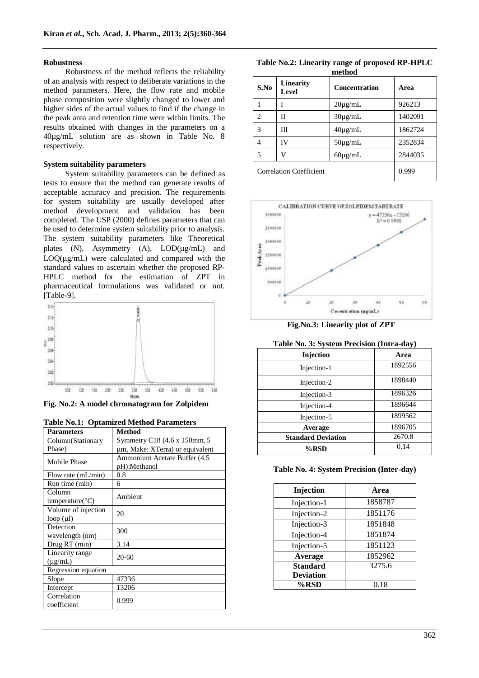#### **Robustness**

Robustness of the method reflects the reliability of an analysis with respect to deliberate variations in the method parameters. Here, the flow rate and mobile phase composition were slightly changed to lower and higher sides of the actual values to find if the change in the peak area and retention time were within limits. The results obtained with changes in the parameters on a 40µg/mL solution are as shown in Table No. 8 respectively.

#### **System suitability parameters**

System suitability parameters can be defined as tests to ensure that the method can generate results of acceptable accuracy and precision. The requirements for system suitability are usually developed after method development and validation has been completed. The USP (2000) defines parameters that can be used to determine system suitability prior to analysis. The system suitability parameters like Theoretical plates (N), Asymmetry (A),  $LOD(\mu g/mL)$  and  $LOO( \mu \omega / mL)$  were calculated and compared with the standard values to ascertain whether the proposed RP-HPLC method for the estimation of ZPT in pharmaceutical formulations was validated or not. [Table-9].



**Fig. No.2: A model chromatogram for Zolpidem**

|  |  | <b>Table No.1: Optamized Method Parameters</b> |
|--|--|------------------------------------------------|
|  |  |                                                |

| <b>Parameters</b>                      | Method                                        |
|----------------------------------------|-----------------------------------------------|
| Column(Stationary                      | Symmetry C18 (4.6 x 150mm, 5)                 |
| Phase)                                 | um, Make: XTerra) or equivalent               |
| Mobile Phase                           | Ammonium Acetate Buffer (4.5)<br>pH):Methanol |
| Flow rate $(mL/min)$                   | $0.8\,$                                       |
| Run time (min)                         | 6                                             |
| Column<br>temperature( ${}^{\circ}C$ ) | Ambient                                       |
| Volume of injection<br>$loop(\mu l)$   | 20                                            |
| Detection<br>wavelength (nm)           | 300                                           |
| Drug RT (min)                          | 3.14                                          |
| Linearity range<br>$(\mu$ g/mL)        | $20-60$                                       |
| Regression equation                    |                                               |
| Slope                                  | 47336                                         |
| Intercept                              | 13206                                         |
| Correlation<br>coefficient             | 0.999                                         |

**Table No.2: Linearity range of proposed RP-HPLC method**

| S.No                           | Linearity<br>Level | <b>Concentration</b> | Area    |  |  |
|--------------------------------|--------------------|----------------------|---------|--|--|
|                                |                    | $20\mu$ g/mL         | 926213  |  |  |
| $\mathfrak{D}$                 | П                  | $30\mu$ g/mL         | 1402091 |  |  |
| 3                              | Ш                  | $40\mu$ g/mL         | 1862724 |  |  |
| 4                              | IV                 | $50\mu$ g/mL         | 2352834 |  |  |
| 5                              | ۲.                 | $60\mu$ g/mL         | 2844035 |  |  |
| <b>Correlation Coefficient</b> |                    |                      | 0.999   |  |  |



**Fig.No.3: Linearity plot of ZPT**

## **Table No. 3: System Precision (Intra-day)**

|                           | .       |
|---------------------------|---------|
| Injection                 | Area    |
| Injection-1               | 1892556 |
| Injection-2               | 1898440 |
| Injection-3               | 1896326 |
| Injection-4               | 1896644 |
| Injection-5               | 1899562 |
| Average                   | 1896705 |
| <b>Standard Deviation</b> | 2670.8  |
| %RSD                      | 0.14    |

#### **Table No. 4: System Precision (Inter-day)**

| Injection        | Area    |
|------------------|---------|
|                  |         |
| Injection-1      | 1858787 |
| Injection-2      | 1851176 |
| Injection-3      | 1851848 |
| Injection-4      | 1851874 |
| Injection-5      | 1851123 |
| Average          | 1852962 |
| <b>Standard</b>  | 3275.6  |
| <b>Deviation</b> |         |
| %RSD             | 0.18    |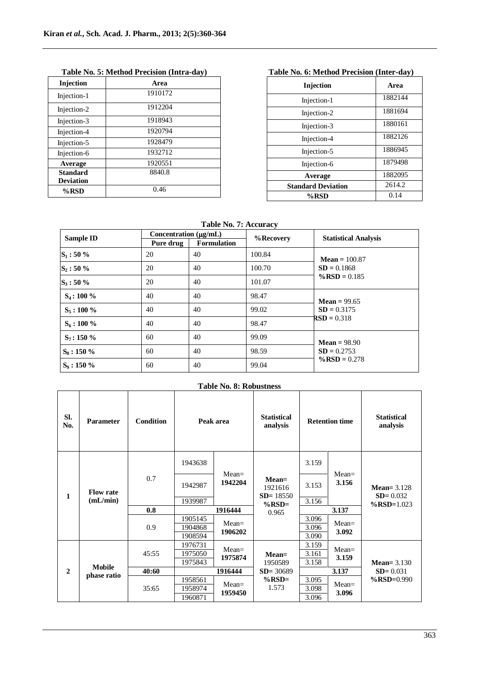| Injection        | Area    |
|------------------|---------|
| Injection-1      | 1910172 |
| Injection-2      | 1912204 |
| Injection-3      | 1918943 |
| Injection-4      | 1920794 |
| Injection-5      | 1928479 |
| Injection-6      | 1932712 |
| Average          | 1920551 |
| <b>Standard</b>  | 8840.8  |
| <b>Deviation</b> |         |
| %RSD             | 0.46    |

# **Table No. 5: Method Precision (Intra-day)**

# **Table No. 6: Method Precision (Inter-day)**

| <b>Injection</b>          | Area    |
|---------------------------|---------|
| Injection-1               | 1882144 |
| Injection-2               | 1881694 |
| Injection-3               | 1880161 |
| Injection-4               | 1882126 |
| Injection-5               | 1886945 |
| Injection-6               | 1879498 |
| Average                   | 1882095 |
| <b>Standard Deviation</b> | 2614.2  |
| %RSD                      | 0.14    |

## **Table No. 7: Accuracy**

| Sample ID     | Concentration $(\mu g/mL)$ |                    | %Recovery | <b>Statistical Analysis</b> |
|---------------|----------------------------|--------------------|-----------|-----------------------------|
|               | Pure drug                  | <b>Formulation</b> |           |                             |
| $S_1: 50\%$   | 20                         | 40                 | 100.84    | <b>Mean</b> = $100.87$      |
| $S_2: 50\%$   | 20                         | 40                 | 100.70    | $SD = 0.1868$               |
| $S_3: 50\%$   | 20                         | 40                 | 101.07    | $\%$ RSD = 0.185            |
| $S_4$ : 100 % | 40                         | 40                 | 98.47     | $Mean = 99.65$              |
| $S_5$ : 100 % | 40                         | 40                 | 99.02     | $SD = 0.3175$               |
| $S_6$ : 100 % | 40                         | 40                 | 98.47     | $RSD = 0.318$               |
| $S_7: 150 \%$ | 60                         | 40                 | 99.09     | $Mean = 98.90$              |
| $S_8:150\%$   | 60                         | 40                 | 98.59     | $SD = 0.2753$               |
| $S_9:150\%$   | 60                         | 40                 | 99.04     | $\%$ RSD = 0.278            |

## **Table No. 8: Robustness**

| SI.<br>No.                        | <b>Parameter</b> | <b>Condition</b>              | Peak area                     |                                                                       | <b>Statistical</b><br>analysis |                                                                   | <b>Retention time</b> | <b>Statistical</b><br>analysis |
|-----------------------------------|------------------|-------------------------------|-------------------------------|-----------------------------------------------------------------------|--------------------------------|-------------------------------------------------------------------|-----------------------|--------------------------------|
|                                   |                  |                               | 1943638                       |                                                                       |                                | 3.159                                                             | $Mean =$              |                                |
| <b>Flow rate</b><br>1<br>(mL/min) | 0.7              | 1942987                       | $Mean =$<br>1942204           | $Mean =$<br>1921616<br>$SD = 18550$<br>$\%$ RSD=<br>0.965<br>$Mean =$ | 3.153                          | 3.156<br>Mean= $3.128$<br>$SD = 0.032$<br>$\%$ RSD=1.023<br>3.137 |                       |                                |
|                                   |                  | 1939987                       |                               |                                                                       | 3.156                          |                                                                   |                       |                                |
|                                   | 0.8              |                               | 1916444                       |                                                                       |                                |                                                                   |                       |                                |
|                                   | 0.9              | 1905145<br>1904868<br>1908594 | 1906202                       |                                                                       | 3.096<br>3.096<br>3.090        | $Mean =$<br>3.092                                                 |                       |                                |
|                                   |                  | 45:55                         | 1976731<br>1975050<br>1975843 | $Mean =$<br>1975874                                                   | $Mean =$<br>1950589            | 3.159<br>3.161<br>3.158                                           | $Mean =$<br>3.159     | Mean= $3.130$                  |
| $\overline{2}$                    | <b>Mobile</b>    | 40:60                         |                               | 1916444                                                               |                                | $SD = 0.031$<br>3.137                                             |                       |                                |
|                                   | phase ratio      | 35:65                         | 1958561<br>1958974<br>1960871 | $Mean =$<br>1959450                                                   | $\%$ RSD=<br>1.573             | 3.095<br>3.098<br>3.096                                           | $Mean =$<br>3.096     | $\%$ RSD=0.990                 |